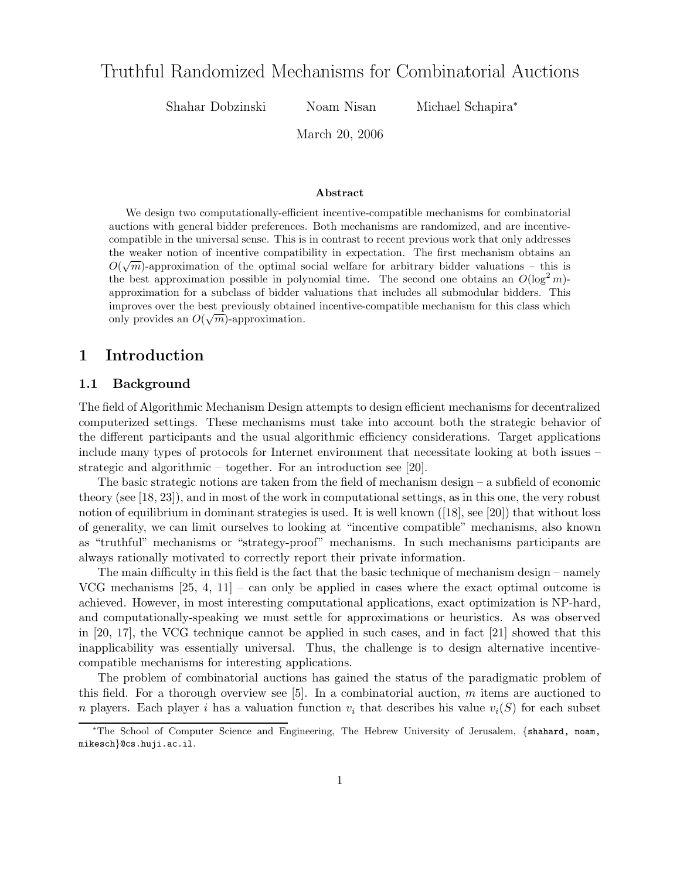# Truthful Randomized Mechanisms for Combinatorial Auctions

Shahar Dobzinski Noam Nisan Michael Schapira<sup>\*</sup>

March 20, 2006

#### **Abstract**

We design two computationally-efficient incentive-compatible mechanisms for combinatorial auctions with general bidder preferences. Both mechanisms are randomized, and are incentivecompatible in the universal sense. This is in contrast to recent previous work that only addresses the weaker notion of incentive compatibility in expectation. The first mechanism obtains an  $O(\sqrt{m})$ -approximation of the optimal social welfare for arbitrary bidder valuations – this is the best approximation possible in polynomial time. The second one obtains an  $O(\log^2 m)$ approximation for a subclass of bidder valuations that includes all submodular bidders. This improves over the best previously obtained incentive-compatible mechanism for this class which miproves over the best previously obtained<br>only provides an  $O(\sqrt{m})$ -approximation.

# **1 Introduction**

### **1.1 Background**

The field of Algorithmic Mechanism Design attempts to design efficient mechanisms for decentralized computerized settings. These mechanisms must take into account both the strategic behavior of the different participants and the usual algorithmic efficiency considerations. Target applications include many types of protocols for Internet environment that necessitate looking at both issues – strategic and algorithmic – together. For an introduction see [20].

The basic strategic notions are taken from the field of mechanism design – a subfield of economic theory (see [18, 23]), and in most of the work in computational settings, as in this one, the very robust notion of equilibrium in dominant strategies is used. It is well known ([18], see [20]) that without loss of generality, we can limit ourselves to looking at "incentive compatible" mechanisms, also known as "truthful" mechanisms or "strategy-proof" mechanisms. In such mechanisms participants are always rationally motivated to correctly report their private information.

The main difficulty in this field is the fact that the basic technique of mechanism design – namely VCG mechanisms  $[25, 4, 11]$  – can only be applied in cases where the exact optimal outcome is achieved. However, in most interesting computational applications, exact optimization is NP-hard, and computationally-speaking we must settle for approximations or heuristics. As was observed in [20, 17], the VCG technique cannot be applied in such cases, and in fact [21] showed that this inapplicability was essentially universal. Thus, the challenge is to design alternative incentivecompatible mechanisms for interesting applications.

The problem of combinatorial auctions has gained the status of the paradigmatic problem of this field. For a thorough overview see  $[5]$ . In a combinatorial auction, m items are auctioned to n players. Each player i has a valuation function  $v_i$  that describes his value  $v_i(S)$  for each subset

<sup>∗</sup>The School of Computer Science and Engineering, The Hebrew University of Jerusalem, {shahard, noam, mikesch}@cs.huji.ac.il.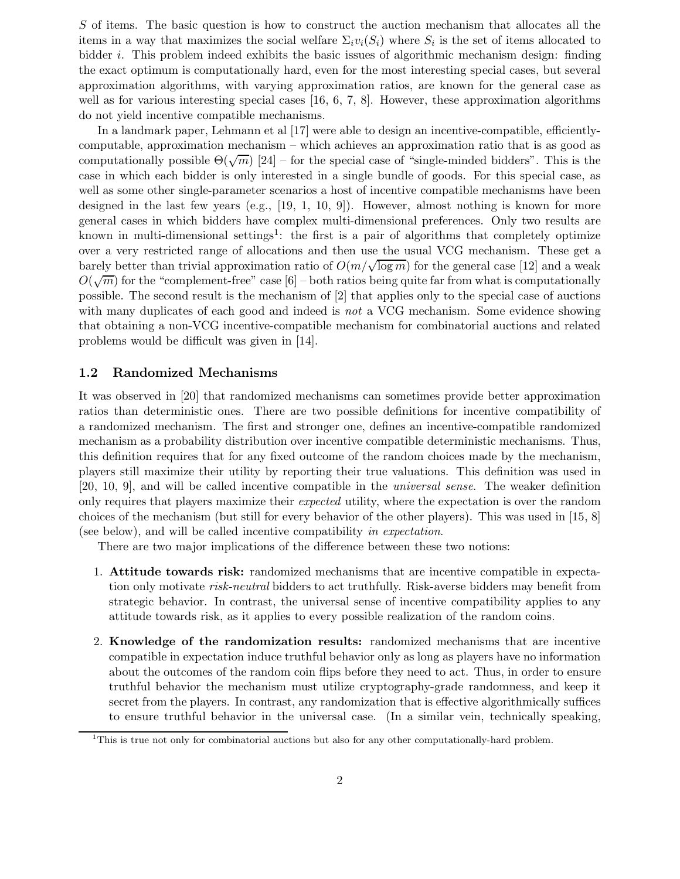S of items. The basic question is how to construct the auction mechanism that allocates all the items in a way that maximizes the social welfare  $\Sigma_i v_i(S_i)$  where  $S_i$  is the set of items allocated to bidder i. This problem indeed exhibits the basic issues of algorithmic mechanism design: finding the exact optimum is computationally hard, even for the most interesting special cases, but several approximation algorithms, with varying approximation ratios, are known for the general case as well as for various interesting special cases [16, 6, 7, 8]. However, these approximation algorithms do not yield incentive compatible mechanisms.

In a landmark paper, Lehmann et al [17] were able to design an incentive-compatible, efficientlycomputable, approximation mechanism – which achieves an approximation ratio that is as good as computationally possible  $\Theta(\sqrt{m})$  [24] – for the special case of "single-minded bidders". This is the case in which each bidder is only interested in a single bundle of goods. For this special case, as well as some other single-parameter scenarios a host of incentive compatible mechanisms have been designed in the last few years  $(e.g., [19, 1, 10, 9])$ . However, almost nothing is known for more general cases in which bidders have complex multi-dimensional preferences. Only two results are known in multi-dimensional settings<sup>1</sup>: the first is a pair of algorithms that completely optimize over a very restricted range of allocations and then use the usual VCG mechanism. These get a barely better than trivial approximation ratio of  $O(m/\sqrt{\log m})$  for the general case [12] and a weak  $O(\sqrt{m})$  for the "complement-free" case [6] – both ratios being quite far from what is computationally possible. The second result is the mechanism of [2] that applies only to the special case of auctions with many duplicates of each good and indeed is *not* a VCG mechanism. Some evidence showing that obtaining a non-VCG incentive-compatible mechanism for combinatorial auctions and related problems would be difficult was given in [14].

### **1.2 Randomized Mechanisms**

It was observed in [20] that randomized mechanisms can sometimes provide better approximation ratios than deterministic ones. There are two possible definitions for incentive compatibility of a randomized mechanism. The first and stronger one, defines an incentive-compatible randomized mechanism as a probability distribution over incentive compatible deterministic mechanisms. Thus, this definition requires that for any fixed outcome of the random choices made by the mechanism, players still maximize their utility by reporting their true valuations. This definition was used in [20, 10, 9], and will be called incentive compatible in the *universal sense*. The weaker definition only requires that players maximize their *expected* utility, where the expectation is over the random choices of the mechanism (but still for every behavior of the other players). This was used in [15, 8] (see below), and will be called incentive compatibility *in expectation*.

There are two major implications of the difference between these two notions:

- 1. **Attitude towards risk:** randomized mechanisms that are incentive compatible in expectation only motivate *risk-neutral* bidders to act truthfully. Risk-averse bidders may benefit from strategic behavior. In contrast, the universal sense of incentive compatibility applies to any attitude towards risk, as it applies to every possible realization of the random coins.
- 2. **Knowledge of the randomization results:** randomized mechanisms that are incentive compatible in expectation induce truthful behavior only as long as players have no information about the outcomes of the random coin flips before they need to act. Thus, in order to ensure truthful behavior the mechanism must utilize cryptography-grade randomness, and keep it secret from the players. In contrast, any randomization that is effective algorithmically suffices to ensure truthful behavior in the universal case. (In a similar vein, technically speaking,

<sup>&</sup>lt;sup>1</sup>This is true not only for combinatorial auctions but also for any other computationally-hard problem.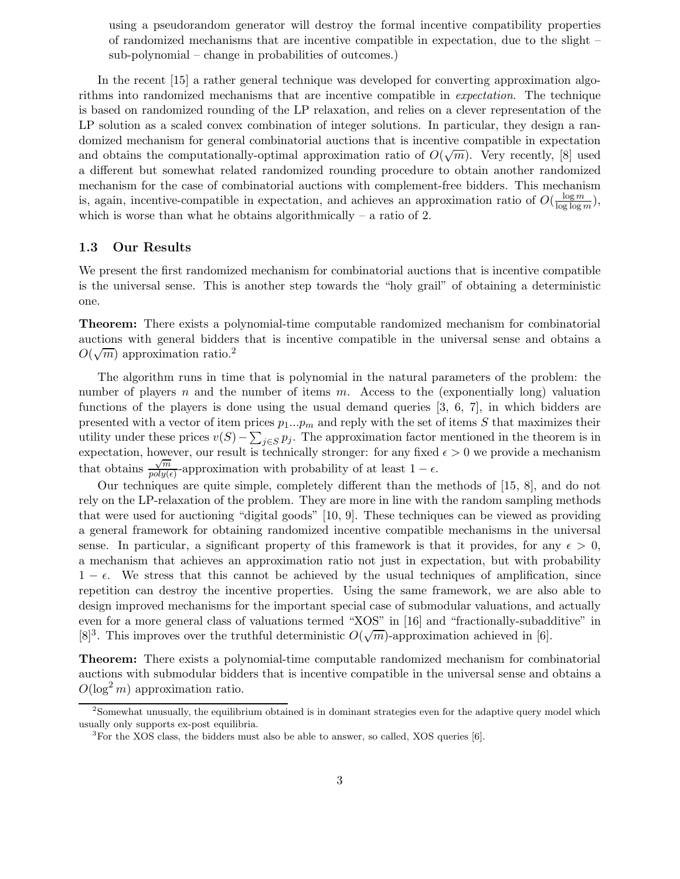using a pseudorandom generator will destroy the formal incentive compatibility properties of randomized mechanisms that are incentive compatible in expectation, due to the slight – sub-polynomial – change in probabilities of outcomes.)

In the recent [15] a rather general technique was developed for converting approximation algorithms into randomized mechanisms that are incentive compatible in *expectation*. The technique is based on randomized rounding of the LP relaxation, and relies on a clever representation of the LP solution as a scaled convex combination of integer solutions. In particular, they design a randomized mechanism for general combinatorial auctions that is incentive compatible in expectation and obtains the computationally-optimal approximation ratio of  $O(\sqrt{m})$ . Very recently, [8] used a different but somewhat related randomized rounding procedure to obtain another randomized mechanism for the case of combinatorial auctions with complement-free bidders. This mechanism is, again, incentive-compatible in expectation, and achieves an approximation ratio of  $O(\frac{\log m}{\log \log m})$ ,<br>which is worse than what he obtains algorithmically – a ratio of 2 which is worse than what he obtains algorithmically – a ratio of 2.

### **1.3 Our Results**

We present the first randomized mechanism for combinatorial auctions that is incentive compatible is the universal sense. This is another step towards the "holy grail" of obtaining a deterministic one.

**Theorem:** There exists a polynomial-time computable randomized mechanism for combinatorial auctions with general bidders that is incentive compatible in the universal sense and obtains a  $O(\sqrt{m})$  approximation ratio.<sup>2</sup>

The algorithm runs in time that is polynomial in the natural parameters of the problem: the number of players n and the number of items m. Access to the (exponentially long) valuation functions of the players is done using the usual demand queries [3, 6, 7], in which bidders are presented with a vector of item prices  $p_1...p_m$  and reply with the set of items S that maximizes their utility under these prices  $v(S) - \sum_{j \in S} p_j$ . The approximation factor mentioned in the theorem is in expectation, however, our result is technically stronger: for any fixed  $\epsilon > 0$  we provide a mechanism that obtains  $\frac{\sqrt{m}}{poly(\epsilon)}$ -approximation with probability of at least  $1 - \epsilon$ .

Our techniques are quite simple, completely different than the methods of [15, 8], and do not rely on the LP-relaxation of the problem. They are more in line with the random sampling methods that were used for auctioning "digital goods" [10, 9]. These techniques can be viewed as providing a general framework for obtaining randomized incentive compatible mechanisms in the universal sense. In particular, a significant property of this framework is that it provides, for any  $\epsilon > 0$ , a mechanism that achieves an approximation ratio not just in expectation, but with probability  $1 - \epsilon$ . We stress that this cannot be achieved by the usual techniques of amplification, since repetition can destroy the incentive properties. Using the same framework, we are also able to design improved mechanisms for the important special case of submodular valuations, and actually even for a more general class of valuations termed "XOS" in [16] and "fractionally-subadditive" in Even for a more general class of valuations termed  $205$  in [10] and Tractionary-subadder [8].<br>[8]<sup>3</sup>. This improves over the truthful deterministic  $O(\sqrt{m})$ -approximation achieved in [6].

**Theorem:** There exists a polynomial-time computable randomized mechanism for combinatorial auctions with submodular bidders that is incentive compatible in the universal sense and obtains a  $O(\log^2 m)$  approximation ratio.

<sup>&</sup>lt;sup>2</sup>Somewhat unusually, the equilibrium obtained is in dominant strategies even for the adaptive query model which usually only supports ex-post equilibria.

<sup>3</sup>For the XOS class, the bidders must also be able to answer, so called, XOS queries [6].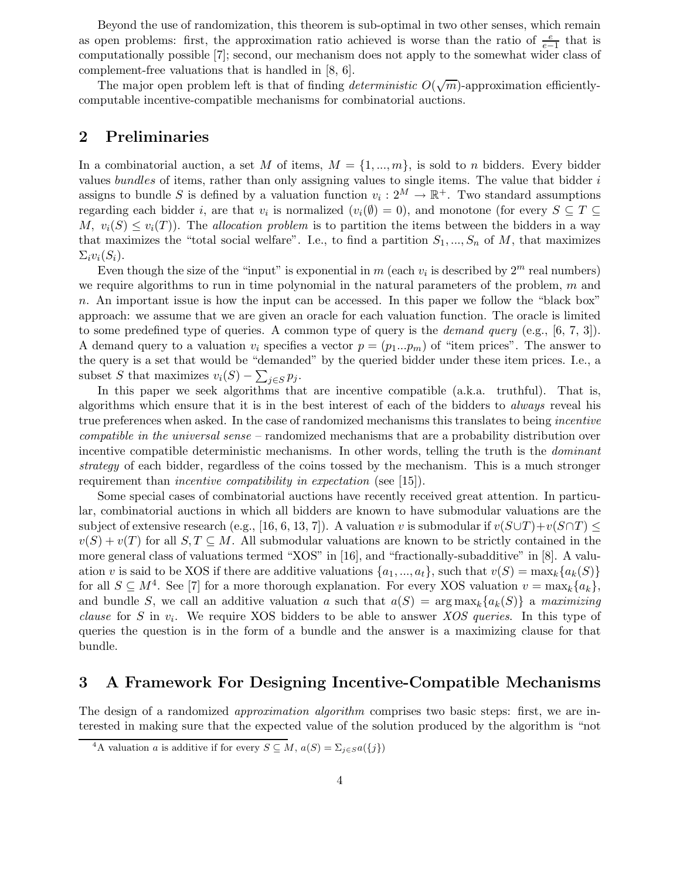Beyond the use of randomization, this theorem is sub-optimal in two other senses, which remain as open problems: first, the approximation ratio achieved is worse than the ratio of  $\frac{e}{e-1}$  that is computationally possible [7]; second our mechanism does not apply to the somewhat wider class of computationally possible [7]; second, our mechanism does not apply to the somewhat wider class of complement-free valuations that is handled in [8, 6].

The major open problem left is that of finding *deterministic*  $O(\sqrt{m})$ -approximation efficientlycomputable incentive-compatible mechanisms for combinatorial auctions.

### **2 Preliminaries**

In a combinatorial auction, a set M of items,  $M = \{1, ..., m\}$ , is sold to n bidders. Every bidder values bundles of items, rather than only assigning values to single items. The value that bidder i assigns to bundle S is defined by a valuation function  $v_i : 2^M \to \mathbb{R}^+$ . Two standard assumptions regarding each bidder *i*, are that  $v_i$  is normalized  $(v_i(\emptyset) = 0)$ , and monotone (for every  $S \subseteq T \subseteq$  $M, v_i(S) \leq v_i(T)$ . The *allocation problem* is to partition the items between the bidders in a way that maximizes the "total social welfare". I.e., to find a partition  $S_1, ..., S_n$  of M, that maximizes  $\Sigma_i v_i(S_i)$ .

Even though the size of the "input" is exponential in m (each  $v_i$  is described by  $2^m$  real numbers) we require algorithms to run in time polynomial in the natural parameters of the problem,  $m$  and n. An important issue is how the input can be accessed. In this paper we follow the "black box" approach: we assume that we are given an oracle for each valuation function. The oracle is limited to some predefined type of queries. A common type of query is the *demand query* (e.g., [6, 7, 3]). A demand query to a valuation  $v_i$  specifies a vector  $p = (p_1...p_m)$  of "item prices". The answer to the query is a set that would be "demanded" by the queried bidder under these item prices. I.e., a subset S that maximizes  $v_i(S) - \sum_{j \in S} p_j$ .

In this paper we seek algorithms that are incentive compatible (a.k.a. truthful). That is, algorithms which ensure that it is in the best interest of each of the bidders to *always* reveal his true preferences when asked. In the case of randomized mechanisms this translates to being *incentive compatible in the universal sense* – randomized mechanisms that are a probability distribution over incentive compatible deterministic mechanisms. In other words, telling the truth is the *dominant strategy* of each bidder, regardless of the coins tossed by the mechanism. This is a much stronger requirement than *incentive compatibility in expectation* (see [15]).

Some special cases of combinatorial auctions have recently received great attention. In particular, combinatorial auctions in which all bidders are known to have submodular valuations are the subject of extensive research (e.g., [16, 6, 13, 7]). A valuation v is submodular if  $v(S \cup T) + v(S \cap T) \le$  $v(S) + v(T)$  for all  $S, T \subseteq M$ . All submodular valuations are known to be strictly contained in the more general class of valuations termed "XOS" in [16], and "fractionally-subadditive" in [8]. A valuation v is said to be XOS if there are additive valuations  $\{a_1, ..., a_t\}$ , such that  $v(S) = \max_k \{a_k(S)\}\$ for all  $S \subseteq M^4$ . See [7] for a more thorough explanation. For every XOS valuation  $v = \max_k \{a_k\}$ , and bundle S, we call an additive valuation a such that  $a(S) = \arg \max_k \{a_k(S)\}\$ a *maximizing clause* for S in  $v_i$ . We require XOS bidders to be able to answer *XOS queries*. In this type of queries the question is in the form of a bundle and the answer is a maximizing clause for that bundle.

# **3 A Framework For Designing Incentive-Compatible Mechanisms**

The design of a randomized *approximation algorithm* comprises two basic steps: first, we are interested in making sure that the expected value of the solution produced by the algorithm is "not

<sup>&</sup>lt;sup>4</sup>A valuation *a* is additive if for every  $S \subseteq M$ ,  $a(S) = \sum_{j \in S} a({j})$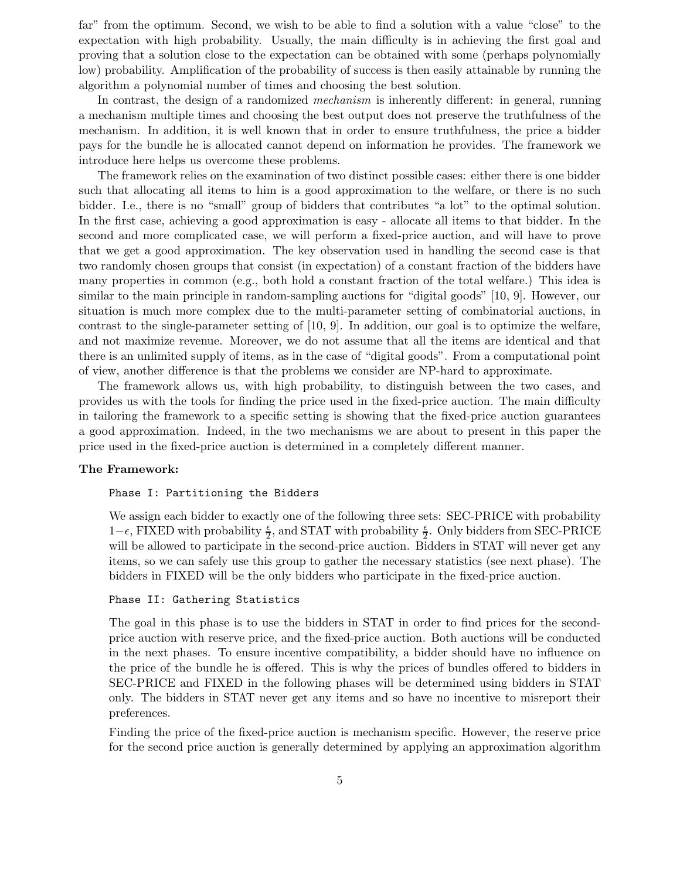far" from the optimum. Second, we wish to be able to find a solution with a value "close" to the expectation with high probability. Usually, the main difficulty is in achieving the first goal and proving that a solution close to the expectation can be obtained with some (perhaps polynomially low) probability. Amplification of the probability of success is then easily attainable by running the algorithm a polynomial number of times and choosing the best solution.

In contrast, the design of a randomized *mechanism* is inherently different: in general, running a mechanism multiple times and choosing the best output does not preserve the truthfulness of the mechanism. In addition, it is well known that in order to ensure truthfulness, the price a bidder pays for the bundle he is allocated cannot depend on information he provides. The framework we introduce here helps us overcome these problems.

The framework relies on the examination of two distinct possible cases: either there is one bidder such that allocating all items to him is a good approximation to the welfare, or there is no such bidder. I.e., there is no "small" group of bidders that contributes "a lot" to the optimal solution. In the first case, achieving a good approximation is easy - allocate all items to that bidder. In the second and more complicated case, we will perform a fixed-price auction, and will have to prove that we get a good approximation. The key observation used in handling the second case is that two randomly chosen groups that consist (in expectation) of a constant fraction of the bidders have many properties in common (e.g., both hold a constant fraction of the total welfare.) This idea is similar to the main principle in random-sampling auctions for "digital goods" [10, 9]. However, our situation is much more complex due to the multi-parameter setting of combinatorial auctions, in contrast to the single-parameter setting of [10, 9]. In addition, our goal is to optimize the welfare, and not maximize revenue. Moreover, we do not assume that all the items are identical and that there is an unlimited supply of items, as in the case of "digital goods". From a computational point of view, another difference is that the problems we consider are NP-hard to approximate.

The framework allows us, with high probability, to distinguish between the two cases, and provides us with the tools for finding the price used in the fixed-price auction. The main difficulty in tailoring the framework to a specific setting is showing that the fixed-price auction guarantees a good approximation. Indeed, in the two mechanisms we are about to present in this paper the price used in the fixed-price auction is determined in a completely different manner.

### **The Framework:**

### Phase I: Partitioning the Bidders

We assign each bidder to exactly one of the following three sets: SEC-PRICE with probability  $1-\epsilon$ , FIXED with probability  $\frac{\epsilon}{2}$ , and STAT with probability  $\frac{\epsilon}{2}$ . Only bidders from SEC-PRICE will be allowed to participate in the second-price auction. Bidders in STAT will never get any will be allowed to participate in the second-price auction. Bidders in STAT will never get any items, so we can safely use this group to gather the necessary statistics (see next phase). The bidders in FIXED will be the only bidders who participate in the fixed-price auction.

#### Phase II: Gathering Statistics

The goal in this phase is to use the bidders in STAT in order to find prices for the secondprice auction with reserve price, and the fixed-price auction. Both auctions will be conducted in the next phases. To ensure incentive compatibility, a bidder should have no influence on the price of the bundle he is offered. This is why the prices of bundles offered to bidders in SEC-PRICE and FIXED in the following phases will be determined using bidders in STAT only. The bidders in STAT never get any items and so have no incentive to misreport their preferences.

Finding the price of the fixed-price auction is mechanism specific. However, the reserve price for the second price auction is generally determined by applying an approximation algorithm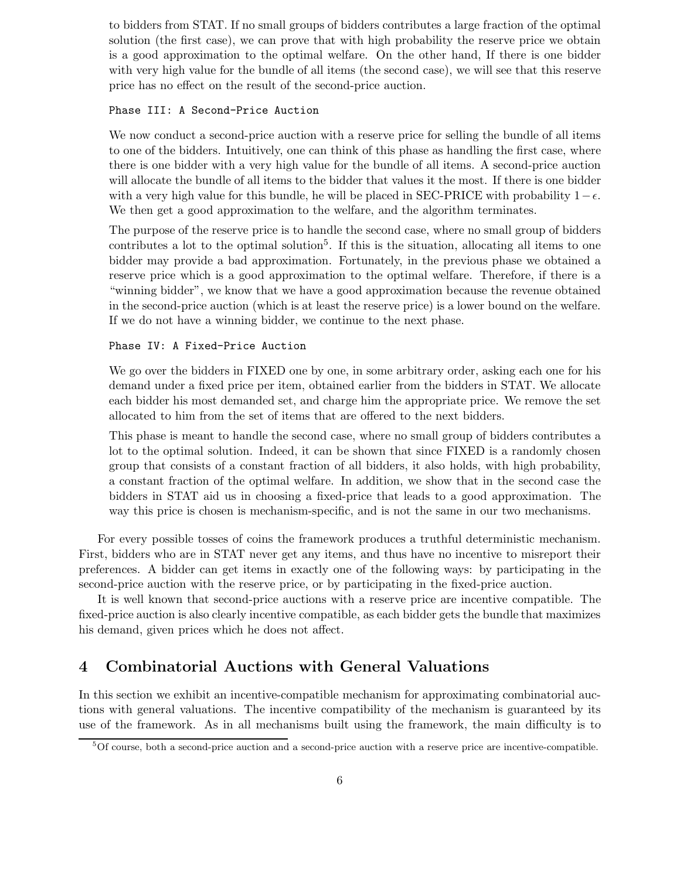to bidders from STAT. If no small groups of bidders contributes a large fraction of the optimal solution (the first case), we can prove that with high probability the reserve price we obtain is a good approximation to the optimal welfare. On the other hand, If there is one bidder with very high value for the bundle of all items (the second case), we will see that this reserve price has no effect on the result of the second-price auction.

### Phase III: A Second-Price Auction

We now conduct a second-price auction with a reserve price for selling the bundle of all items to one of the bidders. Intuitively, one can think of this phase as handling the first case, where there is one bidder with a very high value for the bundle of all items. A second-price auction will allocate the bundle of all items to the bidder that values it the most. If there is one bidder with a very high value for this bundle, he will be placed in SEC-PRICE with probability  $1 - \epsilon$ . We then get a good approximation to the welfare, and the algorithm terminates.

The purpose of the reserve price is to handle the second case, where no small group of bidders contributes a lot to the optimal solution<sup>5</sup>. If this is the situation, allocating all items to one bidder may provide a bad approximation. Fortunately, in the previous phase we obtained a reserve price which is a good approximation to the optimal welfare. Therefore, if there is a "winning bidder", we know that we have a good approximation because the revenue obtained in the second-price auction (which is at least the reserve price) is a lower bound on the welfare. If we do not have a winning bidder, we continue to the next phase.

### Phase IV: A Fixed-Price Auction

We go over the bidders in FIXED one by one, in some arbitrary order, asking each one for his demand under a fixed price per item, obtained earlier from the bidders in STAT. We allocate each bidder his most demanded set, and charge him the appropriate price. We remove the set allocated to him from the set of items that are offered to the next bidders.

This phase is meant to handle the second case, where no small group of bidders contributes a lot to the optimal solution. Indeed, it can be shown that since FIXED is a randomly chosen group that consists of a constant fraction of all bidders, it also holds, with high probability, a constant fraction of the optimal welfare. In addition, we show that in the second case the bidders in STAT aid us in choosing a fixed-price that leads to a good approximation. The way this price is chosen is mechanism-specific, and is not the same in our two mechanisms.

For every possible tosses of coins the framework produces a truthful deterministic mechanism. First, bidders who are in STAT never get any items, and thus have no incentive to misreport their preferences. A bidder can get items in exactly one of the following ways: by participating in the second-price auction with the reserve price, or by participating in the fixed-price auction.

It is well known that second-price auctions with a reserve price are incentive compatible. The fixed-price auction is also clearly incentive compatible, as each bidder gets the bundle that maximizes his demand, given prices which he does not affect.

# **4 Combinatorial Auctions with General Valuations**

In this section we exhibit an incentive-compatible mechanism for approximating combinatorial auctions with general valuations. The incentive compatibility of the mechanism is guaranteed by its use of the framework. As in all mechanisms built using the framework, the main difficulty is to

<sup>5</sup>Of course, both a second-price auction and a second-price auction with a reserve price are incentive-compatible.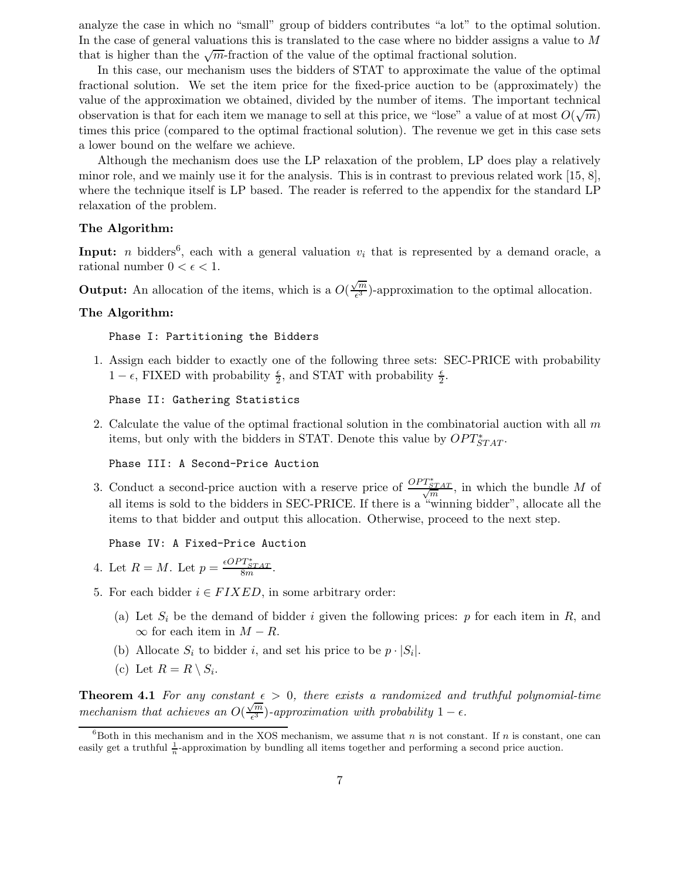analyze the case in which no "small" group of bidders contributes "a lot" to the optimal solution. In the case of general valuations this is translated to the case where no bidder assigns a value to M that is higher than the  $\sqrt{m}$ -fraction of the value of the optimal fractional solution.

In this case, our mechanism uses the bidders of STAT to approximate the value of the optimal fractional solution. We set the item price for the fixed-price auction to be (approximately) the value of the approximation we obtained, divided by the number of items. The important technical observation is that for each item we manage to sell at this price, we "lose" a value of at most  $O(\sqrt{m})$ times this price (compared to the optimal fractional solution). The revenue we get in this case sets a lower bound on the welfare we achieve.

Although the mechanism does use the LP relaxation of the problem, LP does play a relatively minor role, and we mainly use it for the analysis. This is in contrast to previous related work [15, 8], where the technique itself is LP based. The reader is referred to the appendix for the standard LP relaxation of the problem.

#### **The Algorithm:**

**Input:** n bidders<sup>6</sup>, each with a general valuation  $v_i$  that is represented by a demand oracle, a rational number  $0 < \epsilon < 1$ .

**Output:** An allocation of the items, which is a  $O(\frac{\sqrt{m}}{s^3})$  $\frac{m}{\epsilon^3}$ )-approximation to the optimal allocation.

### **The Algorithm:**

Phase I: Partitioning the Bidders

1. Assign each bidder to exactly one of the following three sets: SEC-PRICE with probability 1 −  $\epsilon$ , FIXED with probability  $\frac{\epsilon}{2}$ , and STAT with probability  $\frac{\epsilon}{2}$ .

```
Phase II: Gathering Statistics
```
2. Calculate the value of the optimal fractional solution in the combinatorial auction with all  $m$ items, but only with the bidders in STAT. Denote this value by  $OPT^*_{STAT}$ .

Phase III: A Second-Price Auction

3. Conduct a second-price auction with a reserve price of  $\frac{OPT_{STAT}^*}{\sqrt{m}}$ , in which the bundle M of all items is sold to the bidders in SEC-PRICE. If there is a "winning bidder", allocate all the items to that bidder and output this allocation. Otherwise, proceed to the next step.

### Phase IV: A Fixed-Price Auction

- 4. Let  $R = M$ . Let  $p = \frac{\epsilon OPT_{STAT}}{8m}$ .
- 5. For each bidder  $i \in FIXED$ , in some arbitrary order:
	- (a) Let  $S_i$  be the demand of bidder i given the following prices: p for each item in R, and  $\infty$  for each item in  $M - R$ .
	- (b) Allocate  $S_i$  to bidder i, and set his price to be  $p \cdot |S_i|$ .
	- (c) Let  $R = R \setminus S_i$ .

**Theorem 4.1** For any constant  $\epsilon > 0$ , there exists a randomized and truthful polynomial-time *mechanism that achieves an*  $O(\frac{\sqrt{m}}{\epsilon^3})$  $\frac{\sqrt{m}}{\epsilon^3}$ )-approximation with probability 1 –  $\epsilon$ .

 $6B$ oth in this mechanism and in the XOS mechanism, we assume that *n* is not constant. If *n* is constant, one can easily get a truthful  $\frac{1}{n}$ -approximation by bundling all items together and performing a second price auction.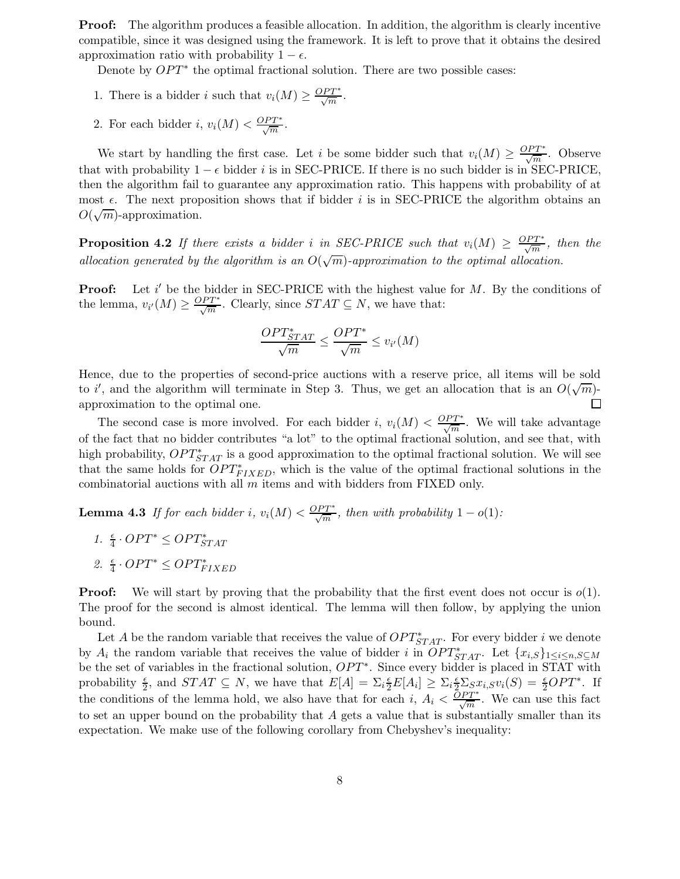**Proof:** The algorithm produces a feasible allocation. In addition, the algorithm is clearly incentive compatible, since it was designed using the framework. It is left to prove that it obtains the desired approximation ratio with probability  $1 - \epsilon$ .

Denote by  $OPT^*$  the optimal fractional solution. There are two possible cases:

- 1. There is a bidder *i* such that  $v_i(M) \geq \frac{OPT^*}{\sqrt{m}}$ .
- 2. For each bidder i,  $v_i(M) < \frac{OPT^*}{\sqrt{m}}$ .

We start by handling the first case. Let i be some bidder such that  $v_i(M) \geq \frac{OPT^*}{\sqrt{m}}$ . Observe that with probability  $1 - \epsilon$  bidder *i* is in SEC-PRICE. If there is no such bidder is in SEC-PRICE, then the algorithm fail to guarantee any approximation ratio. This happens with probability of at most  $\epsilon$ . The next proposition shows that if bidder i is in SEC-PRICE the algorithm obtains an  $O(\sqrt{m})$ -approximation.

**Proposition 4.2** *If there exists a bidder i in SEC-PRICE such that*  $v_i(M) \geq \frac{OPT^*}{\sqrt{m}}$ , then the *allocation generated by the algorithm is an*  $O(\sqrt{m})$ -approximation to the optimal allocation.

**Proof:** Let i' be the bidder in SEC-PRICE with the highest value for M. By the conditions of the lemma,  $v_{i'}(M) \geq \frac{OPT^*}{\sqrt{m}}$ . Clearly, since  $STAT \subseteq N$ , we have that:

$$
\frac{OPT_{STAT}^*}{\sqrt{m}} \le \frac{OPT^*}{\sqrt{m}} \le v_{i'}(M)
$$

Hence, due to the properties of second-price auctions with a reserve price, all items will be sold thence, due to the properties of second-price authors with a reserve price, an items with be sold<br>to i', and the algorithm will terminate in Step 3. Thus, we get an allocation that is an  $O(\sqrt{m})$ approximation to the optimal one.  $\Box$ 

The second case is more involved. For each bidder i,  $v_i(M) < \frac{OPT^*}{\sqrt{m}}$ . We will take advantage of the fact that no bidder contributes "a lot" to the optimal fractional solution, and see that, with high probability,  $OPT^*_{STAT}$  is a good approximation to the optimal fractional solution. We will see that the same holds for  $OPT^*_{FIXED}$ , which is the value of the optimal fractional solutions in the combinatorial auctions with all  $m$  items and with bidders from FIXED only.

**Lemma 4.3** *If for each bidder i*,  $v_i(M) < \frac{OPT^*}{\sqrt{m}}$ , then with probability 1 – o(1):

- 1.  $\frac{\epsilon}{4} \cdot OPT^* \leq OPT^*_{STAT}$
- 2.  $\frac{\epsilon}{4} \cdot OPT^* \leq OPT^*_{FIXED}$

**Proof:** We will start by proving that the probability that the first event does not occur is  $o(1)$ . The proof for the second is almost identical. The lemma will then follow, by applying the union bound.

Let A be the random variable that receives the value of  $OPT^*_{STAT}$ . For every bidder i we denote by  $A_i$  the random variable that receives the value of bidder i in  $OPT^*_{STAT}$ . Let  $\{x_{i,S}\}_{1\leq i\leq n, S\subseteq M}$ be the set of variables in the fractional solution, OPT∗. Since every bidder is placed in STAT with probability  $\frac{\epsilon}{2}$ , and  $STAT \subseteq N$ , we have that  $E[A] = \sum_i \frac{\epsilon}{2} E[A_i] \geq \sum_i \frac{\epsilon}{2} \sum_{S} x_{i,S} v_i(S) = \frac{\epsilon}{2} OPT^*$ . If<br>the conditions of the lamma hold, we also have that for each  $i \leq A_i \leq OPT^*$ . We can use this fact the conditions of the lemma hold, we also have that for each i,  $A_i < \frac{OPT^*}{\sqrt{m}}$ . We can use this fact to set an upper bound on the probability that  $A$  gets a value that is substantially smaller than its expectation. We make use of the following corollary from Chebyshev's inequality: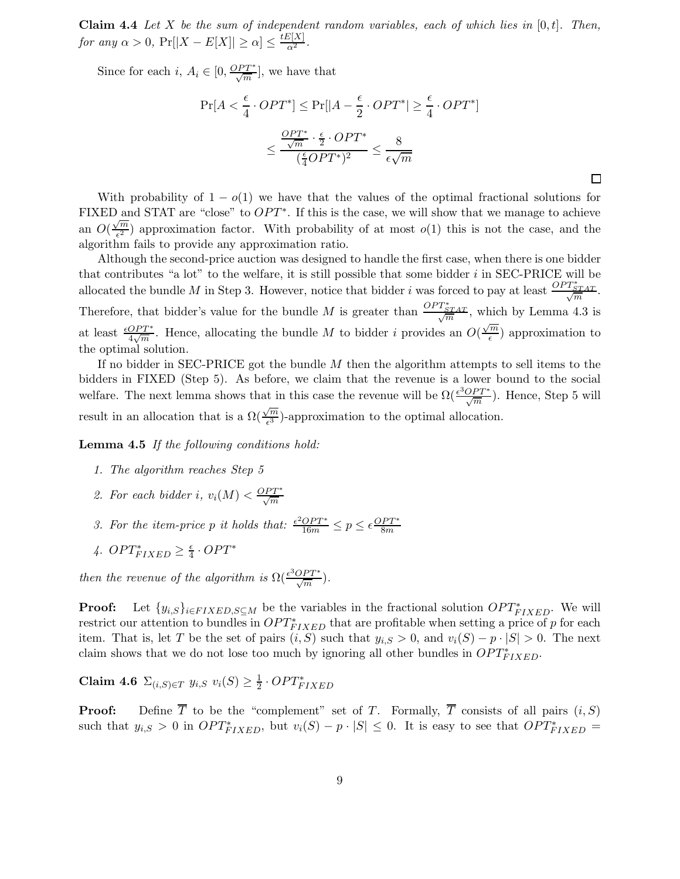**Claim 4.4** *Let* X *be the sum of independent random variables, each of which lies in* [0, t]*. Then, for any*  $\alpha > 0$ ,  $Pr[|X - E[X]| \ge \alpha] \le \frac{tE[X]}{\alpha^2}$ .

Since for each i,  $A_i \in [0, \frac{OPT^*}{\sqrt{m}}]$ , we have that

$$
\Pr[A < \frac{\epsilon}{4} \cdot OPT^*] \le \Pr[|A - \frac{\epsilon}{2} \cdot OPT^*| \ge \frac{\epsilon}{4} \cdot OPT^*]
$$
\n
$$
\le \frac{\frac{OPT^*}{\sqrt{m}} \cdot \frac{\epsilon}{2} \cdot OPT^*}{(\frac{\epsilon}{4}OPT^*)^2} \le \frac{8}{\epsilon \sqrt{m}}
$$

 $\Box$ 

With probability of  $1 - o(1)$  we have that the values of the optimal fractional solutions for FIXED and STAT are "close" to  $OPT^*$ . If this is the case, we will show that we manage to achieve an  $O(\frac{\sqrt{m}}{\epsilon^2})$  $\frac{\sqrt{m}}{\epsilon^2}$  approximation factor. With probability of at most  $o(1)$  this is not the case, and the algorithm fails to provide any approximation ratio.

Although the second-price auction was designed to handle the first case, when there is one bidder that contributes "a lot" to the welfare, it is still possible that some bidder  $i$  in SEC-PRICE will be allocated the bundle M in Step 3. However, notice that bidder i was forced to pay at least  $\frac{OPT_{STAT}^{*}}{\sqrt{m}}$ . Therefore, that bidder's value for the bundle M is greater than  $\frac{OPT_{STAT}^*}{\sqrt{m}}$ , which by Lemma 4.3 is at least  $\frac{\epsilon OPT^*}{4\sqrt{m}}$ . Hence, allocating the bundle M to bidder *i* provides an  $O(\frac{\sqrt{m}}{\epsilon})$ the optimal solution.  $\frac{m}{\epsilon}$ ) approximation to

If no bidder in SEC-PRICE got the bundle  $M$  then the algorithm attempts to sell items to the bidders in FIXED (Step 5). As before, we claim that the revenue is a lower bound to the social welfare. The next lemma shows that in this case the revenue will be  $\Omega(\frac{\epsilon^3 OPT^*}{\sqrt{m}})$ . Hence, Step 5 will result in an allocation that is a  $\Omega(\frac{\sqrt{m}}{e^3})$  $\frac{m}{\epsilon^3}$ )-approximation to the optimal allocation.

**Lemma 4.5** *If the following conditions hold:*

- *1. The algorithm reaches Step 5*
- 2. For each bidder i,  $v_i(M) < \frac{OPT^*}{\sqrt{m}}$
- 3. For the item-price p it holds that:  $\frac{\epsilon^2 OPT^*}{16m} \le p \le \epsilon \frac{OPT^*}{8m}$ 8m
- 4.  $OPT^*_{FIXED} \geq \frac{\epsilon}{4} \cdot OPT^*$

*then the revenue of the algorithm is*  $\Omega(\frac{\epsilon^3 OPT^*}{\sqrt{m}})$ *.* 

**Proof:** Let  $\{y_{i,S}\}_{i\in FIXED,S\subseteq M}$  be the variables in the fractional solution  $OPT^*_{FIXED}$ . We will restrict our attention to bundles in  $OPT^*_{FIXED}$  that are profitable when setting a price of p for each item. That is, let T be the set of pairs  $(i, S)$  such that  $y_{i,S} > 0$ , and  $v_i(S) - p \cdot |S| > 0$ . The next claim shows that we do not lose too much by ignoring all other bundles in  $OPT^*_{FIXED}$ .

**Claim 4.6**  $\Sigma_{(i,S)\in T}$   $y_{i,S}$   $v_i(S) \ge \frac{1}{2} \cdot OPT_{FIXED}^*$ 

**Proof:** Define  $\overline{T}$  to be the "complement" set of T. Formally,  $\overline{T}$  consists of all pairs  $(i, S)$ such that  $y_{i,S} > 0$  in  $OPT^*_{FIXED}$ , but  $v_i(S) - p \cdot |S| \leq 0$ . It is easy to see that  $OPT^*_{FIXED}$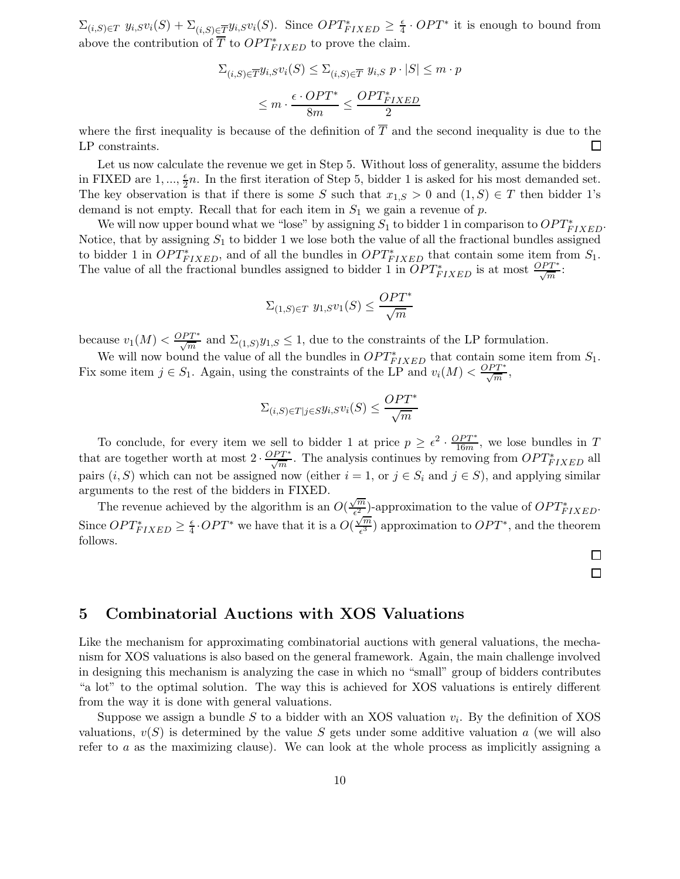$\Sigma_{(i,S)\in T} y_{i,S}v_i(S) + \Sigma_{(i,S)\in \overline{T}} y_{i,S}v_i(S)$ . Since  $OPT^*_{FIXED} \geq \frac{\epsilon}{4} \cdot OPT^*$  it is enough to bound from above the contribution of  $\overline{T}$  to  $OPT^*_{FIXED}$  to prove the claim.

$$
\Sigma_{(i,S)\in\overline{T}}y_{i,S}v_i(S) \leq \Sigma_{(i,S)\in\overline{T}} y_{i,S} p \cdot |S| \leq m \cdot p
$$

$$
\leq m \cdot \frac{\epsilon \cdot OPT^*}{8m} \leq \frac{OPT^*_{FIXED}}{2}
$$

where the first inequality is because of the definition of  $\overline{T}$  and the second inequality is due to the LP constraints.  $\Box$ 

Let us now calculate the revenue we get in Step 5. Without loss of generality, assume the bidders in FIXED are  $1, ..., \frac{\epsilon}{2}n$ . In the first iteration of Step 5, bidder 1 is asked for his most demanded set.<br>The key observation is that if there is some S such that  $x_1 \circ 0$  and  $(1, S) \in T$  then bidder 1's The key observation is that if there is some S such that  $x_{1,S} > 0$  and  $(1, S) \in T$  then bidder 1's demand is not empty. Recall that for each item in  $S_1$  we gain a revenue of p.

We will now upper bound what we "lose" by assigning  $S_1$  to bidder 1 in comparison to  $OPT^*_{FLXED}$ . Notice, that by assigning  $S_1$  to bidder 1 we lose both the value of all the fractional bundles assigned to bidder 1 in  $OPT^*_{FIXED}$ , and of all the bundles in  $OPT^*_{FIXED}$  that contain some item from  $S_1$ .<br>The value of all the fractional bundles essigned to bidden 1 in  $OPT^*$ , is at most  $OPT^*$ . The value of all the fractional bundles assigned to bidder 1 in  $OPT^*_{FIXED}$  is at most  $\frac{OPT^*}{\sqrt{m}}$ .

$$
\Sigma_{(1,S)\in T} y_{1,S}v_1(S) \le \frac{OPT^*}{\sqrt{m}}
$$

because  $v_1(M) < \frac{OPT^*}{\sqrt{m}}$  and  $\Sigma_{(1,S)}y_{1,S} \leq 1$ , due to the constraints of the LP formulation.

We will now bound the value of all the bundles in  $OPT^*_{FIXED}$  that contain some item from  $S_1$ . Fix some item  $j \in S_1$ . Again, using the constraints of the LP and  $v_i(M) < \frac{OPT^*}{\sqrt{m}}$ ,

$$
\Sigma_{(i,S)\in T|j\in S}y_{i,S}v_i(S) \le \frac{OPT^*}{\sqrt{m}}
$$

To conclude, for every item we sell to bidder 1 at price  $p \geq \epsilon^2 \cdot \frac{OPT^*}{16m}$ , we lose bundles in T<br>t are together worth at most 2.  $OPT^*$ . The applyist continues by remaying from  $OPT^*$ that are together worth at most  $2 \cdot \frac{OPT^*}{\sqrt{m}}$ . The analysis continues by removing from  $OPT^*_{FIXED}$  all pairs  $(i, S)$  which can not be assigned now (either  $i = 1$ , or  $j \in S_i$  and  $j \in S$ ), and applying similar arguments to the rest of the bidders in FIXED.

The revenue achieved by the algorithm is an  $O(\frac{\sqrt{m}}{\epsilon^2})$  $\frac{\sqrt{m}}{\epsilon^2}$ -approximation to the value of  $OPT^*_{FIXED}$ . Since  $OPT^*_{FIXED} \geq \frac{\epsilon}{4} \cdot OPT^*$  we have that it is a  $O(\frac{\sqrt{m}}{\epsilon^3})$  $\frac{m}{\epsilon^3}$ ) approximation to  $OPT^*$ , and the theorem follows.

> $\Box$  $\Box$

| 5 Combinatorial Auctions with XOS Valuations |
|----------------------------------------------|
|----------------------------------------------|

Like the mechanism for approximating combinatorial auctions with general valuations, the mechanism for XOS valuations is also based on the general framework. Again, the main challenge involved in designing this mechanism is analyzing the case in which no "small" group of bidders contributes "a lot" to the optimal solution. The way this is achieved for XOS valuations is entirely different from the way it is done with general valuations.

Suppose we assign a bundle S to a bidder with an XOS valuation  $v_i$ . By the definition of XOS valuations,  $v(S)$  is determined by the value S gets under some additive valuation a (we will also refer to a as the maximizing clause). We can look at the whole process as implicitly assigning a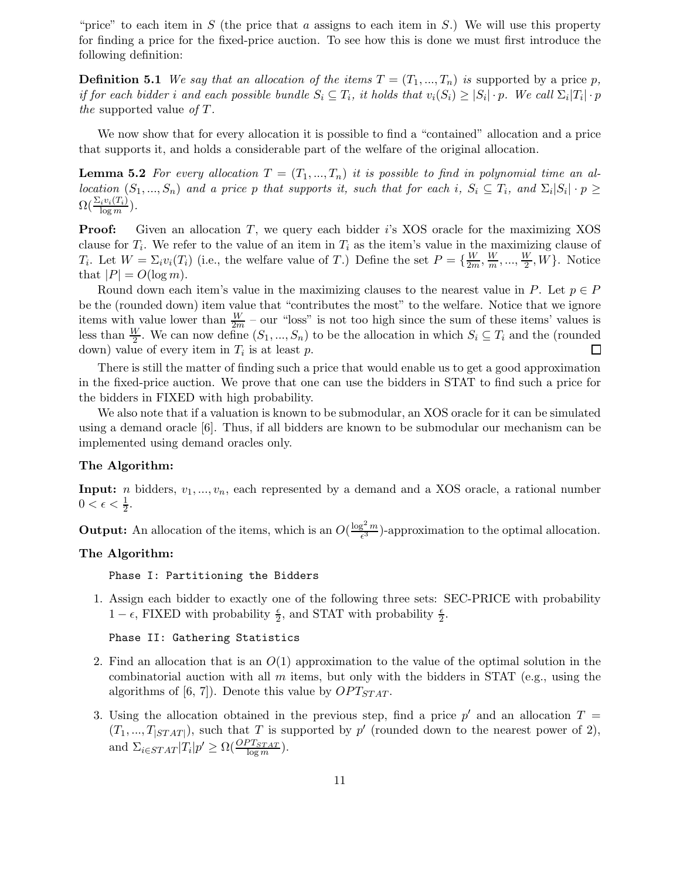"price" to each item in S (the price that a assigns to each item in S.) We will use this property for finding a price for the fixed-price auction. To see how this is done we must first introduce the following definition:

**Definition 5.1** We say that an allocation of the items  $T = (T_1, ..., T_n)$  is supported by a price p, *if for each bidder i* and each possible bundle  $S_i \subseteq T_i$ , *it holds that*  $v_i(S_i) \geq |S_i| \cdot p$ . We call  $\Sigma_i |T_i| \cdot p$ *the* supported value *of* T*.*

We now show that for every allocation it is possible to find a "contained" allocation and a price that supports it, and holds a considerable part of the welfare of the original allocation.

**Lemma 5.2** For every allocation  $T = (T_1, ..., T_n)$  it is possible to find in polynomial time an al*location*  $(S_1, ..., S_n)$  *and a price p that supports it, such that for each i,*  $S_i \subseteq T_i$ *, and*  $\Sigma_i | S_i | \cdot p \geq$  $\Omega(\frac{\Sigma_i v_i(T_i)}{\log m})$ .

**Proof:** Given an allocation T, we query each bidder is XOS oracle for the maximizing XOS clause for  $T_i$ . We refer to the value of an item in  $T_i$  as the item's value in the maximizing clause of  $T_i$ . Let  $W = \Sigma_i v_i(T_i)$  (i.e., the welfare value of T.) Define the set  $P = \{\frac{W}{2m}, \frac{W}{m}, ..., \frac{W}{2}, W\}$ . Notice that  $|P| = O(\log m)$ that  $|P| = O(\log m)$ .

Round down each item's value in the maximizing clauses to the nearest value in P. Let  $p \in P$ be the (rounded down) item value that "contributes the most" to the welfare. Notice that we ignore items with value lower than  $\frac{W}{2m}$  – our "loss" is not too high since the sum of these items' values is<br>less than  $\frac{W}{2m}$ . We can now define  $(S_1, \ldots, S_n)$  to be the allocation in which  $S_1 \subset T_1$  and the (rounded less than  $\frac{W}{2}$ . We can now define  $(S_1, ..., S_n)$  to be the allocation in which  $S_i \subseteq T_i$  and the (rounded down) value of every item in T is at least n down) value of every item in  $T_i$  is at least p.

There is still the matter of finding such a price that would enable us to get a good approximation in the fixed-price auction. We prove that one can use the bidders in STAT to find such a price for the bidders in FIXED with high probability.

We also note that if a valuation is known to be submodular, an XOS oracle for it can be simulated using a demand oracle [6]. Thus, if all bidders are known to be submodular our mechanism can be implemented using demand oracles only.

### **The Algorithm:**

**Input:** *n* bidders,  $v_1, ..., v_n$ , each represented by a demand and a XOS oracle, a rational number  $0 < \epsilon < \frac{1}{2}$ .

**Output:** An allocation of the items, which is an  $O(\frac{\log^2 m}{\epsilon^3})$ -approximation to the optimal allocation.

### **The Algorithm:**

Phase I: Partitioning the Bidders

1. Assign each bidder to exactly one of the following three sets: SEC-PRICE with probability 1 −  $\epsilon$ , FIXED with probability  $\frac{\epsilon}{2}$ , and STAT with probability  $\frac{\epsilon}{2}$ .

### Phase II: Gathering Statistics

- 2. Find an allocation that is an  $O(1)$  approximation to the value of the optimal solution in the combinatorial auction with all  $m$  items, but only with the bidders in STAT (e.g., using the algorithms of [6, 7]). Denote this value by  $OPT_{STAT}$ .
- 3. Using the allocation obtained in the previous step, find a price  $p'$  and an allocation  $T =$  $(T_1, ..., T_{\text{STAT}})$ , such that T is supported by p' (rounded down to the nearest power of 2), and  $\Sigma_{i \in STAT} | T_i | p' \ge \Omega(\frac{OPT_{STAT}}{\log m})$ .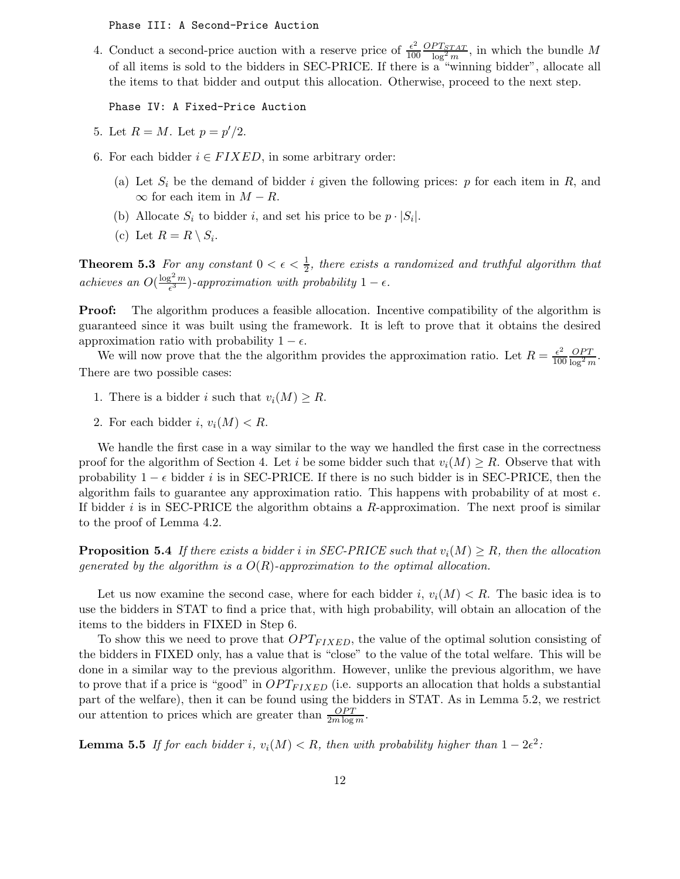Phase III: A Second-Price Auction

4. Conduct a second-price auction with a reserve price of  $\frac{\epsilon^2}{100} \frac{OPT_{STAT}}{\log^2 m}$ , in which the bundle M<br>of all items is sold to the bidders in SEC-PRICE. If there is a "winning bidder" allocate all of all items is sold to the bidders in SEC-PRICE. If there is a "winning bidder", allocate all the items to that bidder and output this allocation. Otherwise, proceed to the next step.

### Phase IV: A Fixed-Price Auction

- 5. Let  $R = M$ . Let  $p = p'/2$ .
- 6. For each bidder  $i \in FIXED$ , in some arbitrary order:
	- (a) Let  $S_i$  be the demand of bidder i given the following prices: p for each item in R, and  $\infty$  for each item in  $M - R$ .
	- (b) Allocate  $S_i$  to bidder i, and set his price to be  $p \cdot |S_i|$ .
	- (c) Let  $R = R \setminus S_i$ .

**Theorem 5.3** *For any constant*  $0 < \epsilon < \frac{1}{2}$ *, there exists a randomized and truthful algorithm that achieves an*  $O(\frac{\log^2 m}{\epsilon^3})$ -*approximation with probability*  $1 - \epsilon$ *.* 

**Proof:** The algorithm produces a feasible allocation. Incentive compatibility of the algorithm is guaranteed since it was built using the framework. It is left to prove that it obtains the desired approximation ratio with probability  $1 - \epsilon$ .

We will now prove that the the algorithm provides the approximation ratio. Let  $R = \frac{\epsilon^2}{100} \frac{OPT}{\log^2 m}$ . There are two possible cases:

- 1. There is a bidder i such that  $v_i(M) \geq R$ .
- 2. For each bidder i,  $v_i(M) < R$ .

We handle the first case in a way similar to the way we handled the first case in the correctness proof for the algorithm of Section 4. Let i be some bidder such that  $v_i(M) \geq R$ . Observe that with probability  $1 - \epsilon$  bidder *i* is in SEC-PRICE. If there is no such bidder is in SEC-PRICE, then the algorithm fails to guarantee any approximation ratio. This happens with probability of at most  $\epsilon$ . If bidder i is in SEC-PRICE the algorithm obtains a  $R$ -approximation. The next proof is similar to the proof of Lemma 4.2.

**Proposition 5.4** If there exists a bidder i in SEC-PRICE such that  $v_i(M) \geq R$ , then the allocation *generated by the algorithm is a* O(R)*-approximation to the optimal allocation.*

Let us now examine the second case, where for each bidder i,  $v_i(M) < R$ . The basic idea is to use the bidders in STAT to find a price that, with high probability, will obtain an allocation of the items to the bidders in FIXED in Step 6.

To show this we need to prove that  $OPT_{FIXED}$ , the value of the optimal solution consisting of the bidders in FIXED only, has a value that is "close" to the value of the total welfare. This will be done in a similar way to the previous algorithm. However, unlike the previous algorithm, we have to prove that if a price is "good" in  $OPT_{FIXED}$  (i.e. supports an allocation that holds a substantial part of the welfare), then it can be found using the bidders in STAT. As in Lemma 5.2, we restrict our attention to prices which are greater than  $\frac{OPT}{2m \log m}$ .

**Lemma 5.5** *If for each bidder i*,  $v_i(M) < R$ *, then with probability higher than*  $1 - 2\epsilon^2$ *:*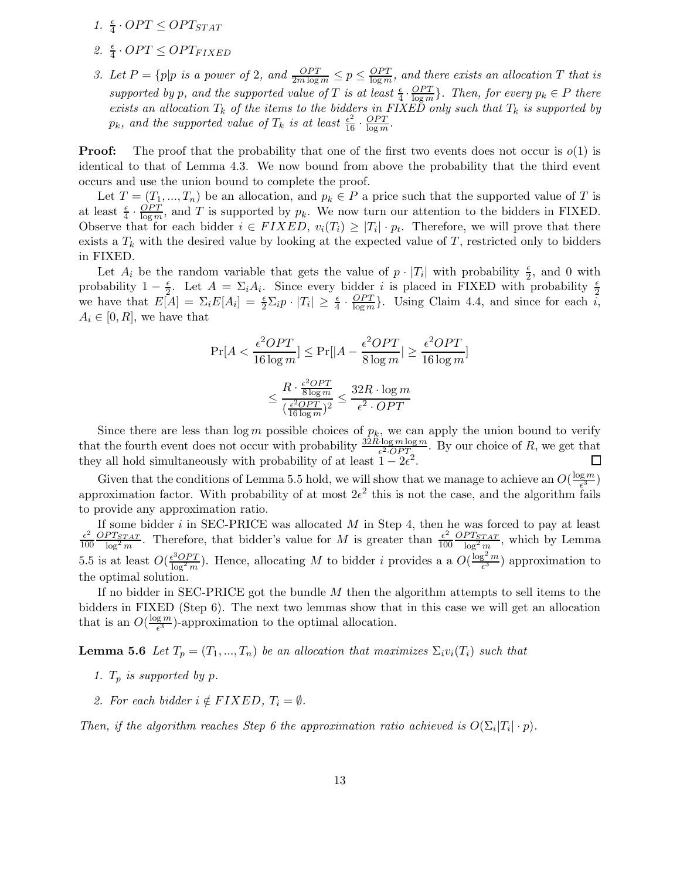- 1.  $\frac{\epsilon}{4} \cdot OPT \le OPT_{STAT}$
- 2.  $\frac{\epsilon}{4} \cdot OPT \le OPT_{FIXED}$
- *3.* Let  $P = \{p | p \text{ is a power of 2, and } \frac{OPT}{2m \log m} \leq p \leq \frac{OPT}{\log m}$ , and there exists an allocation T that is supported by p, and the supported value of T is at least  $\frac{\epsilon}{4} \cdot \frac{OPT}{\log m}$ . Then, for every  $p_k \in P$  there exists an allocation T, of the *items* to the hidders in *FIXED* only such that T, is supported by *exists an allocation*  $T_k$  *of the items to the bidders in FIXED only such that*  $T_k$  *is supported by*  $p_k$ , and the supported value of  $T_k$  is at least  $\frac{\epsilon^2}{16} \cdot \frac{OPT}{\log m}$ .

**Proof:** The proof that the probability that one of the first two events does not occur is  $o(1)$  is identical to that of Lemma 4.3. We now bound from above the probability that the third event occurs and use the union bound to complete the proof.

Let  $T = (T_1, ..., T_n)$  be an allocation, and  $p_k \in P$  a price such that the supported value of T is at least  $\frac{\epsilon}{4} \cdot \frac{OPT}{\log m}$ , and T is supported by  $p_k$ . We now turn our attention to the bidders in FIXED.<br>Observe that for each bidder  $i \in FIXED$ ,  $v_i(T_i) \geq |T_i| \cdot p_t$ . Therefore, we will prove that there exists a  $T_k$  with the desired value by looking at the expected value of T, restricted only to bidders in FIXED.

Let  $A_i$  be the random variable that gets the value of  $p \cdot |T_i|$  with probability  $\frac{\epsilon}{2}$ , and 0 with has been variable to  $A = \sum A_i$ . Since every bidder i is placed in FIXED with probability  $\frac{\epsilon}{2}$ . probability  $1 - \frac{\epsilon}{2}$ . Let  $A = \sum_i A_i$ . Since every bidder *i* is placed in FIXED with probability  $\frac{\epsilon}{2}$ <br>we have that  $E[A] = \sum_i E[A] = \frac{\epsilon \sum_i n_i}{|T'|} > \frac{\epsilon}{2}$ .  $\frac{OPT}{2}$  Using Claim 4.4, and since for each *i* we have that  $E[A] = \sum_i E[A_i] = \frac{\epsilon}{2} \sum_i p \cdot |T_i| \ge \frac{\epsilon}{4} \cdot \frac{OPT}{\log m}$ . Using Claim 4.4, and since for each  $i$ ,  $A \in [0, R]$  we have that  $A_i \in [0, R]$ , we have that

$$
\Pr[A < \frac{\epsilon^2 OPT}{16 \log m}] \le \Pr[|A - \frac{\epsilon^2 OPT}{8 \log m}| \ge \frac{\epsilon^2 OPT}{16 \log m}]
$$
\n
$$
\le \frac{R \cdot \frac{\epsilon^2 OPT}{8 \log m}}{(\frac{\epsilon^2 OPT}{16 \log m})^2} \le \frac{32R \cdot \log m}{\epsilon^2 \cdot OPT}
$$

Since there are less than  $\log m$  possible choices of  $p_k$ , we can apply the union bound to verify that the fourth event does not occur with probability  $\frac{32R \log m \log m}{\epsilon^2 OPT}$ . By our choice of R, we get that they all hold simultaneously with probability of at least  $1 - 2\epsilon^2$ .

Given that the conditions of Lemma 5.5 hold, we will show that we manage to achieve an  $O(\frac{\log m}{\epsilon^3})$ approximation factor. With probability of at most  $2\epsilon^2$  this is not the case, and the algorithm fails to provide any approximation ratio.

If some bidder  $i$  in SEC-PRICE was allocated  $M$  in Step 4, then he was forced to pay at least  $\epsilon^2$  $\frac{OPT_{STAT}}{\log^2 m}$ . Therefore, that bidder's value for M is greater than  $\frac{\epsilon^2}{100}$  $\frac{OPT_{STAT}}{\log^2 m}$ , which by Lemma 5.5 is at least  $O(\frac{\epsilon^3 OPT}{\log^2 m})$ . Hence, allocating M to bidder *i* provides a a  $O(\frac{\log^2 m}{\epsilon^3})$  approximation to the optimal solution the optimal solution.

If no bidder in SEC-PRICE got the bundle  $M$  then the algorithm attempts to sell items to the bidders in FIXED (Step 6). The next two lemmas show that in this case we will get an allocation that is an  $O(\frac{\log m}{\epsilon^3})$ -approximation to the optimal allocation.

**Lemma 5.6** Let  $T_p = (T_1, ..., T_n)$  be an allocation that maximizes  $\Sigma_i v_i(T_i)$  such that

- 1.  $T_p$  *is supported by* p.
- 2. For each bidder  $i \notin FIXED$ ,  $T_i = \emptyset$ .

*Then, if the algorithm reaches Step 6 the approximation ratio achieved is*  $O(\Sigma_i |T_i| \cdot p)$ .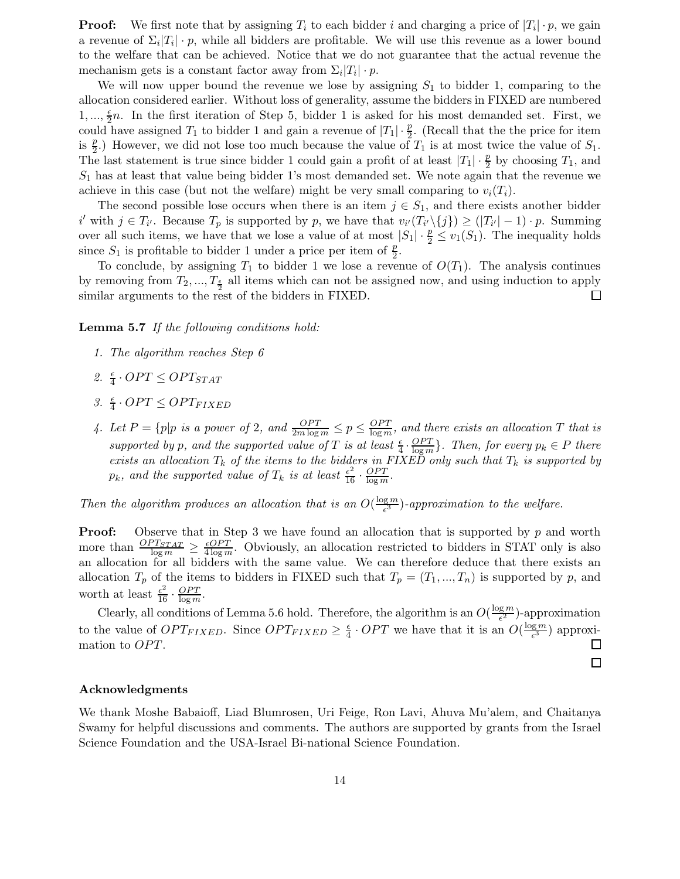**Proof:** We first note that by assigning  $T_i$  to each bidder i and charging a price of  $|T_i| \cdot p$ , we gain a revenue of  $\Sigma_i|T_i|\cdot p$ , while all bidders are profitable. We will use this revenue as a lower bound to the welfare that can be achieved. Notice that we do not guarantee that the actual revenue the mechanism gets is a constant factor away from  $\Sigma_i|T_i| \cdot p$ .

We will now upper bound the revenue we lose by assigning  $S_1$  to bidder 1, comparing to the allocation considered earlier. Without loss of generality, assume the bidders in FIXED are numbered  $1, ..., \frac{\epsilon}{2}n$ . In the first iteration of Step 5, bidder 1 is asked for his most demanded set. First, we could have assigned  $T_1$  to bidder 1 and gain a revenue of  $|T_1|$ ,  $\ell$  (Recall that the the price for item could have assigned  $T_1$  to bidder 1 and gain a revenue of  $|T_1| \cdot \frac{p}{2}$ . (Recall that the the price for item<br>is  $\mathcal{L}$ ). However, we did not lose too much because the value of  $T_1$  is at most twice the value of  $S$ is  $\frac{p}{2}$ .) However, we did not lose too much because the value of  $T_1$  is at most twice the value of  $S_1$ .<br>The last statement is true since bidder 1 could gain a profit of at least  $|T_1|$ .  $\frac{p}{q}$  by choosing  $T_$ The last statement is true since bidder 1 could gain a profit of at least  $|T_1| \cdot \frac{p}{2}$  by choosing  $T_1$ , and  $S_1$  has at least that value being bidder 1's most demanded set. We note again that the revenue we  $S_1$  has at least that value being bidder 1's most demanded set. We note again that the revenue we<br>collier in this case (but not the welfame) might be reary angle comparing to  $y(T)$ achieve in this case (but not the welfare) might be very small comparing to  $v_i(T_i)$ .

The second possible lose occurs when there is an item  $j \in S_1$ , and there exists another bidder i' with  $j \in T_{i'}$ . Because  $T_p$  is supported by p, we have that  $v_{i'}(T_{i'}\setminus\{j\}) \geq (|T_{i'}|-1) \cdot p$ . Summing over all such items, we have that we lose a value of at most  $|S_1| \cdot \frac{p}{2} \le v_1(S_1)$ . The inequality holds since  $S_1$  is profitable to bidder 1 under a price per item of  $\frac{p}{2}$ since  $S_1$  is profitable to bidder 1 under a price per item of  $\frac{p}{2}$ .<br>To conclude by assigning  $T_1$  to bidder 1 we lose a rever

To conclude, by assigning  $T_1$  to bidder 1 we lose a revenue of  $O(T_1)$ . The analysis continues by removing from  $T_2, ..., T_{\frac{\epsilon}{2}}$  $\frac{2}{2}$  all items which can not be assigned now, and using induction to apply similar arguments to the rest of the bidders in FIXED.

**Lemma 5.7** *If the following conditions hold:*

- *1. The algorithm reaches Step 6*
- 2.  $\frac{\epsilon}{4} \cdot OPT \le OPT_{STAT}$
- 3.  $\frac{\epsilon}{4} \cdot OPT \le OPT_{FIXED}$
- 4. Let  $P = \{p | p \text{ is a power of 2, and } \frac{OPT}{2m \log m} \leq p \leq \frac{OPT}{\log m}$ , and there exists an allocation T that is supported by p, and the supported value of T is at least  $\frac{\epsilon}{4} \cdot \frac{OPT}{\log m}$ . Then, for every  $p_k \in P$  there exists an allocation  $T_k$  of the items to the bidders in FIXED only such that  $T_k$  is supported by  $p_k$ , and the supported value of  $T_k$  is at least  $\frac{\epsilon^2}{16} \cdot \frac{OPT}{\log m}$ .

*Then the algorithm produces an allocation that is an*  $O(\frac{\log m}{\epsilon^3})$ -approximation to the welfare.

**Proof:** Observe that in Step 3 we have found an allocation that is supported by p and worth more than  $\frac{C}{2}$  $\frac{\rho_{TSTAT}}{\log m} \geq \frac{\epsilon OPT}{4 \log m}$ . Obviously, an allocation restricted to bidders in STAT only is also for all bidders with the same value. We can therefore deduce that there exists an an allocation for all bidders with the same value. We can therefore deduce that there exists an allocation  $T_p$  of the items to bidders in FIXED such that  $T_p = (T_1, ..., T_n)$  is supported by p, and worth at least  $\frac{\epsilon^2}{16} \cdot \frac{OPT}{\log m}$ .

Clearly, all conditions of Lemma 5.6 hold. Therefore, the algorithm is an  $O(\frac{\log m}{\epsilon^2})$ -approximation to the value of  $OPT_{FIXED}$ . Since  $OPT_{FIXED} \geq \frac{\epsilon}{4} \cdot OPT$  we have that it is an  $O(\frac{\log m}{\epsilon^3})$  approximation to  $OPT$ mation to OPT.  $\Box$ 

### $\Box$

### **Acknowledgments**

We thank Moshe Babaioff, Liad Blumrosen, Uri Feige, Ron Lavi, Ahuva Mu'alem, and Chaitanya Swamy for helpful discussions and comments. The authors are supported by grants from the Israel Science Foundation and the USA-Israel Bi-national Science Foundation.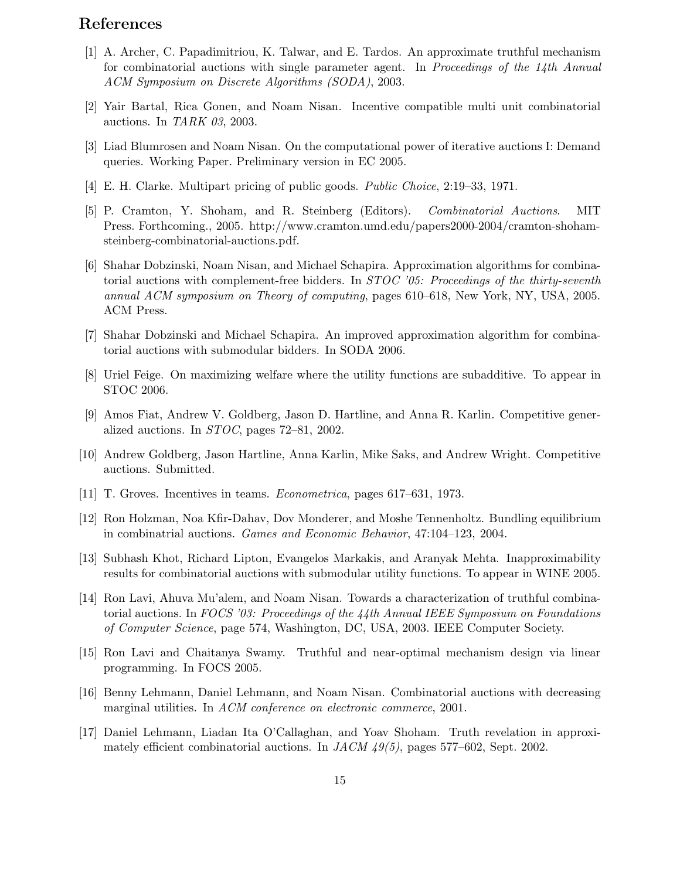# **References**

- [1] A. Archer, C. Papadimitriou, K. Talwar, and E. Tardos. An approximate truthful mechanism for combinatorial auctions with single parameter agent. In *Proceedings of the 14th Annual ACM Symposium on Discrete Algorithms (SODA)*, 2003.
- [2] Yair Bartal, Rica Gonen, and Noam Nisan. Incentive compatible multi unit combinatorial auctions. In *TARK 03*, 2003.
- [3] Liad Blumrosen and Noam Nisan. On the computational power of iterative auctions I: Demand queries. Working Paper. Preliminary version in EC 2005.
- [4] E. H. Clarke. Multipart pricing of public goods. *Public Choice*, 2:19–33, 1971.
- [5] P. Cramton, Y. Shoham, and R. Steinberg (Editors). *Combinatorial Auctions*. MIT Press. Forthcoming., 2005. http://www.cramton.umd.edu/papers2000-2004/cramton-shohamsteinberg-combinatorial-auctions.pdf.
- [6] Shahar Dobzinski, Noam Nisan, and Michael Schapira. Approximation algorithms for combinatorial auctions with complement-free bidders. In *STOC '05: Proceedings of the thirty-seventh annual ACM symposium on Theory of computing*, pages 610–618, New York, NY, USA, 2005. ACM Press.
- [7] Shahar Dobzinski and Michael Schapira. An improved approximation algorithm for combinatorial auctions with submodular bidders. In SODA 2006.
- [8] Uriel Feige. On maximizing welfare where the utility functions are subadditive. To appear in STOC 2006.
- [9] Amos Fiat, Andrew V. Goldberg, Jason D. Hartline, and Anna R. Karlin. Competitive generalized auctions. In *STOC*, pages 72–81, 2002.
- [10] Andrew Goldberg, Jason Hartline, Anna Karlin, Mike Saks, and Andrew Wright. Competitive auctions. Submitted.
- [11] T. Groves. Incentives in teams. *Econometrica*, pages 617–631, 1973.
- [12] Ron Holzman, Noa Kfir-Dahav, Dov Monderer, and Moshe Tennenholtz. Bundling equilibrium in combinatrial auctions. *Games and Economic Behavior*, 47:104–123, 2004.
- [13] Subhash Khot, Richard Lipton, Evangelos Markakis, and Aranyak Mehta. Inapproximability results for combinatorial auctions with submodular utility functions. To appear in WINE 2005.
- [14] Ron Lavi, Ahuva Mu'alem, and Noam Nisan. Towards a characterization of truthful combinatorial auctions. In *FOCS '03: Proceedings of the 44th Annual IEEE Symposium on Foundations of Computer Science*, page 574, Washington, DC, USA, 2003. IEEE Computer Society.
- [15] Ron Lavi and Chaitanya Swamy. Truthful and near-optimal mechanism design via linear programming. In FOCS 2005.
- [16] Benny Lehmann, Daniel Lehmann, and Noam Nisan. Combinatorial auctions with decreasing marginal utilities. In *ACM conference on electronic commerce*, 2001.
- [17] Daniel Lehmann, Liadan Ita O'Callaghan, and Yoav Shoham. Truth revelation in approximately efficient combinatorial auctions. In *JACM 49(5)*, pages 577–602, Sept. 2002.